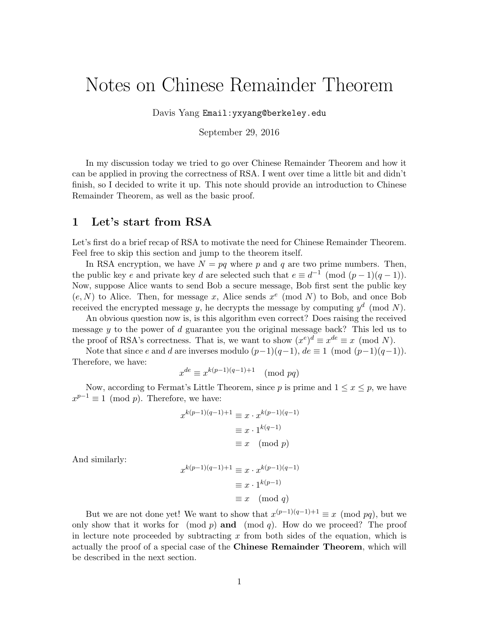## Notes on Chinese Remainder Theorem

Davis Yang Email:yxyang@berkeley.edu

September 29, 2016

In my discussion today we tried to go over Chinese Remainder Theorem and how it can be applied in proving the correctness of RSA. I went over time a little bit and didn't finish, so I decided to write it up. This note should provide an introduction to Chinese Remainder Theorem, as well as the basic proof.

## 1 Let's start from RSA

Let's first do a brief recap of RSA to motivate the need for Chinese Remainder Theorem. Feel free to skip this section and jump to the theorem itself.

In RSA encryption, we have  $N = pq$  where p and q are two prime numbers. Then, the public key e and private key d are selected such that  $e \equiv d^{-1} \pmod{(p-1)(q-1)}$ . Now, suppose Alice wants to send Bob a secure message, Bob first sent the public key  $(e, N)$  to Alice. Then, for message x, Alice sends  $x^e \pmod{N}$  to Bob, and once Bob received the encrypted message y, he decrypts the message by computing  $y^d \pmod{N}$ .

An obvious question now is, is this algorithm even correct? Does raising the received message  $y$  to the power of  $d$  guarantee you the original message back? This led us to the proof of RSA's correctness. That is, we want to show  $(x^e)^d \equiv x^{de} \equiv x \pmod{N}$ .

Note that since e and d are inverses modulo  $(p-1)(q-1)$ ,  $de \equiv 1 \pmod{(p-1)(q-1)}$ . Therefore, we have:

$$
x^{de} \equiv x^{k(p-1)(q-1)+1} \pmod{pq}
$$

Now, according to Fermat's Little Theorem, since p is prime and  $1 \le x \le p$ , we have  $x^{p-1} \equiv 1 \pmod{p}$ . Therefore, we have:

$$
x^{k(p-1)(q-1)+1} \equiv x \cdot x^{k(p-1)(q-1)}
$$

$$
\equiv x \cdot 1^{k(q-1)}
$$

$$
\equiv x \pmod{p}
$$

And similarly:

$$
x^{k(p-1)(q-1)+1} \equiv x \cdot x^{k(p-1)(q-1)}
$$

$$
\equiv x \cdot 1^{k(p-1)}
$$

$$
\equiv x \pmod{q}
$$

But we are not done yet! We want to show that  $x^{(p-1)(q-1)+1} \equiv x \pmod{pq}$ , but we only show that it works for  $p \mod p$  and  $p \mod q$ . How do we proceed? The proof in lecture note proceeded by subtracting  $x$  from both sides of the equation, which is actually the proof of a special case of the Chinese Remainder Theorem, which will be described in the next section.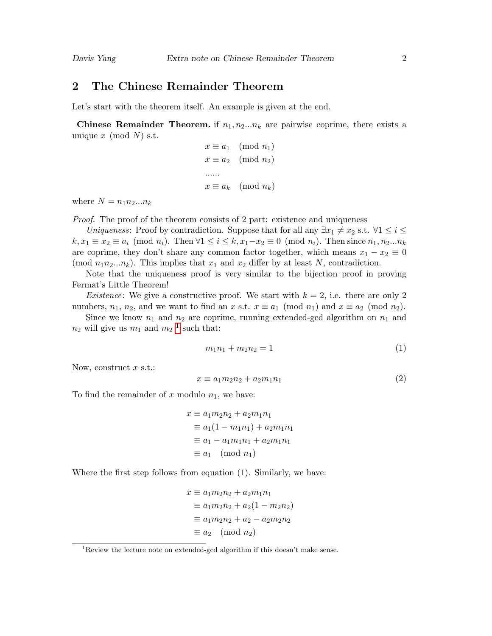## 2 The Chinese Remainder Theorem

Let's start with the theorem itself. An example is given at the end.

**Chinese Remainder Theorem.** if  $n_1, n_2...n_k$  are pairwise coprime, there exists a unique  $x \pmod{N}$  s.t.

```
x \equiv a_1 \pmod{n_1}x \equiv a_2 \pmod{n_2}......
x \equiv a_k \pmod{n_k}
```
where  $N = n_1 n_2 ... n_k$ 

Proof. The proof of the theorem consists of 2 part: existence and uniqueness

Uniqueness: Proof by contradiction. Suppose that for all any  $\exists x_1 \neq x_2$  s.t.  $\forall 1 \leq i \leq$  $k, x_1 \equiv x_2 \equiv a_i \pmod{n_i}$ . Then  $\forall 1 \leq i \leq k, x_1-x_2 \equiv 0 \pmod{n_i}$ . Then since  $n_1, n_2...n_k$ are coprime, they don't share any common factor together, which means  $x_1 - x_2 \equiv 0$ (mod  $n_1 n_2 ... n_k$ ). This implies that  $x_1$  and  $x_2$  differ by at least N, contradiction.

Note that the uniqueness proof is very similar to the bijection proof in proving Fermat's Little Theorem!

*Existence*: We give a constructive proof. We start with  $k = 2$ , i.e. there are only 2 numbers,  $n_1$ ,  $n_2$ , and we want to find an x s.t.  $x \equiv a_1 \pmod{n_1}$  and  $x \equiv a_2 \pmod{n_2}$ .

Since we know  $n_1$  and  $n_2$  are coprime, running extended-gcd algorithm on  $n_1$  and  $n_2$  will give us  $m_1$  $m_1$  and  $m_2$ <sup>1</sup> such that:

$$
m_1 n_1 + m_2 n_2 = 1 \tag{1}
$$

Now, construct  $x$  s.t.:

$$
x \equiv a_1 m_2 n_2 + a_2 m_1 n_1 \tag{2}
$$

To find the remainder of x modulo  $n_1$ , we have:

$$
x \equiv a_1 m_2 n_2 + a_2 m_1 n_1
$$
  
\n
$$
\equiv a_1 (1 - m_1 n_1) + a_2 m_1 n_1
$$
  
\n
$$
\equiv a_1 - a_1 m_1 n_1 + a_2 m_1 n_1
$$
  
\n
$$
\equiv a_1 \pmod{n_1}
$$

Where the first step follows from equation (1). Similarly, we have:

$$
x \equiv a_1 m_2 n_2 + a_2 m_1 n_1
$$
  
\n
$$
\equiv a_1 m_2 n_2 + a_2 (1 - m_2 n_2)
$$
  
\n
$$
\equiv a_1 m_2 n_2 + a_2 - a_2 m_2 n_2
$$
  
\n
$$
\equiv a_2 \pmod{n_2}
$$

<span id="page-1-0"></span><sup>&</sup>lt;sup>1</sup>Review the lecture note on extended-gcd algorithm if this doesn't make sense.